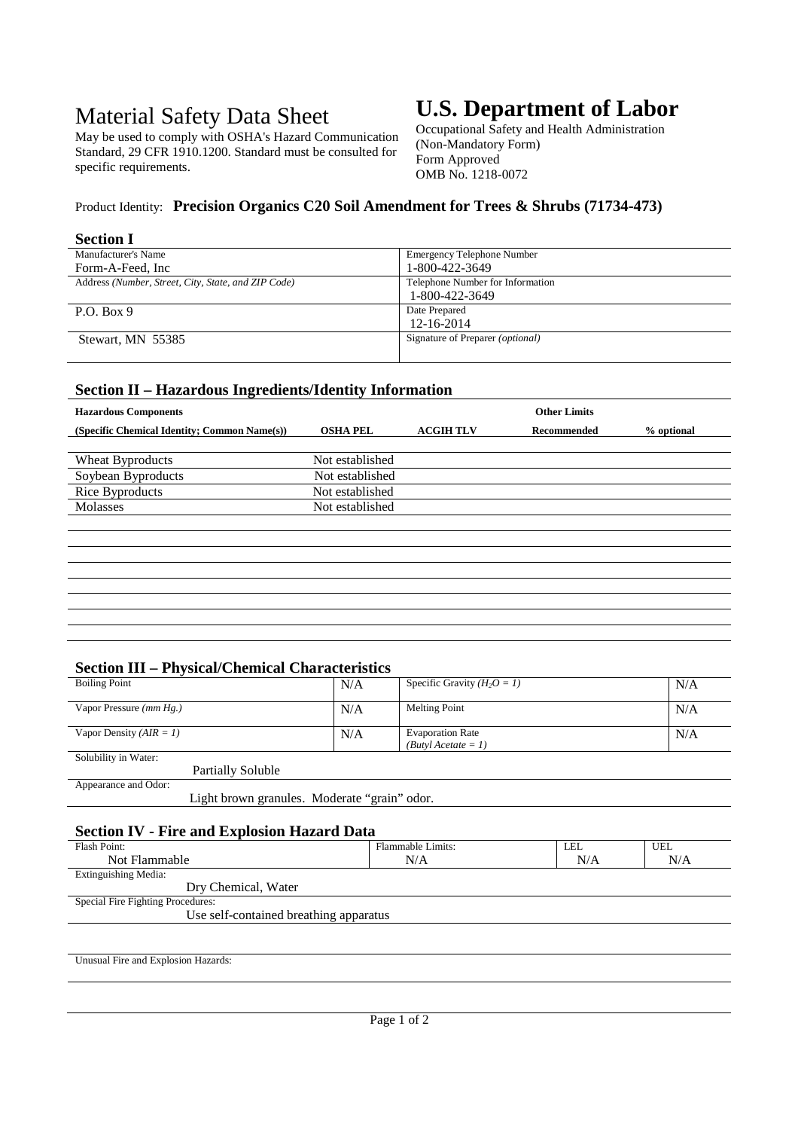# Material Safety Data Sheet

May be used to comply with OSHA's Hazard Communication Standard, 29 CFR 1910.1200. Standard must be consulted for specific requirements.

# **U.S. Department of Labor**

Occupational Safety and Health Administration (Non-Mandatory Form) Form Approved OMB No. 1218-0072

# Product Identity: **Precision Organics C20 Soil Amendment for Trees & Shrubs (71734-473)**

#### **Section I**

| Manufacturer's Name                                 | <b>Emergency Telephone Number</b>       |
|-----------------------------------------------------|-----------------------------------------|
| Form-A-Feed, Inc                                    | 1-800-422-3649                          |
| Address (Number, Street, City, State, and ZIP Code) | Telephone Number for Information        |
|                                                     | 1-800-422-3649                          |
| P.O. Box 9                                          | Date Prepared                           |
|                                                     | 12-16-2014                              |
| Stewart, MN 55385                                   | Signature of Preparer <i>(optional)</i> |
|                                                     |                                         |

### **Section II – Hazardous Ingredients/Identity Information**

| <b>Hazardous Components</b>                  |                 |                  | <b>Other Limits</b> |            |  |  |
|----------------------------------------------|-----------------|------------------|---------------------|------------|--|--|
| (Specific Chemical Identity; Common Name(s)) | <b>OSHA PEL</b> | <b>ACGIH TLV</b> | Recommended         | % optional |  |  |
|                                              |                 |                  |                     |            |  |  |
| Wheat Byproducts                             | Not established |                  |                     |            |  |  |
| Soybean Byproducts                           | Not established |                  |                     |            |  |  |
| Rice Byproducts                              | Not established |                  |                     |            |  |  |
| Molasses                                     | Not established |                  |                     |            |  |  |
|                                              |                 |                  |                     |            |  |  |
|                                              |                 |                  |                     |            |  |  |
|                                              |                 |                  |                     |            |  |  |
|                                              |                 |                  |                     |            |  |  |
|                                              |                 |                  |                     |            |  |  |
|                                              |                 |                  |                     |            |  |  |
|                                              |                 |                  |                     |            |  |  |
|                                              |                 |                  |                     |            |  |  |

### **Section III – Physical/Chemical Characteristics**

| <b>Boiling Point</b>                         | N/A | Specific Gravity $(H_2O = I)$                    | N/A |  |
|----------------------------------------------|-----|--------------------------------------------------|-----|--|
| Vapor Pressure $(mm Hg.)$                    | N/A | <b>Melting Point</b>                             | N/A |  |
| Vapor Density $(AIR = 1)$                    | N/A | <b>Evaporation Rate</b><br>$(Butvl$ Acetate = 1) | N/A |  |
| Solubility in Water:                         |     |                                                  |     |  |
| <b>Partially Soluble</b>                     |     |                                                  |     |  |
| Appearance and Odor:                         |     |                                                  |     |  |
| Light brown granules. Moderate "grain" odor. |     |                                                  |     |  |

## **Section IV - Fire and Explosion Hazard Data**

| Flash Point:                           | Flammable Limits: | LEL | <b>UEL</b> |  |
|----------------------------------------|-------------------|-----|------------|--|
| Not Flammable                          | N/A               | N/A | N/A        |  |
| Extinguishing Media:                   |                   |     |            |  |
| Dry Chemical, Water                    |                   |     |            |  |
| Special Fire Fighting Procedures:      |                   |     |            |  |
| Use self-contained breathing apparatus |                   |     |            |  |
|                                        |                   |     |            |  |
|                                        |                   |     |            |  |

Unusual Fire and Explosion Hazards: